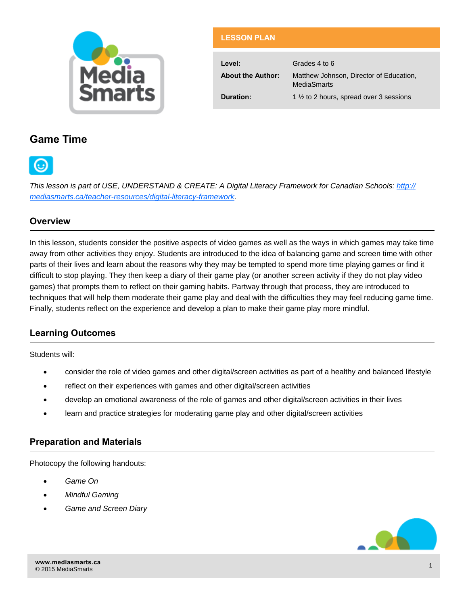

| <b>LESSON PLAN</b> |  |
|--------------------|--|
|                    |  |

| Level:                   | Grades 4 to 6                                                 |
|--------------------------|---------------------------------------------------------------|
| <b>About the Author:</b> | Matthew Johnson, Director of Education,<br><b>MediaSmarts</b> |
| Duration:                | 1 1/2 to 2 hours, spread over 3 sessions                      |

## **Game Time**



*This lesson is part of USE, UNDERSTAND & CREATE: A Digital Literacy Framework for Canadian Schools: [http://](http://mediasmarts.ca/teacher-resources/digital-literacy-framework) [mediasmarts.ca/teacher-resources/digital-literacy-framework.](http://mediasmarts.ca/teacher-resources/digital-literacy-framework)* 

### **Overview**

In this lesson, students consider the positive aspects of video games as well as the ways in which games may take time away from other activities they enjoy. Students are introduced to the idea of balancing game and screen time with other parts of their lives and learn about the reasons why they may be tempted to spend more time playing games or find it difficult to stop playing. They then keep a diary of their game play (or another screen activity if they do not play video games) that prompts them to reflect on their gaming habits. Partway through that process, they are introduced to techniques that will help them moderate their game play and deal with the difficulties they may feel reducing game time. Finally, students reflect on the experience and develop a plan to make their game play more mindful.

## **Learning Outcomes**

Students will:

- consider the role of video games and other digital/screen activities as part of a healthy and balanced lifestyle
- reflect on their experiences with games and other digital/screen activities
- develop an emotional awareness of the role of games and other digital/screen activities in their lives
- learn and practice strategies for moderating game play and other digital/screen activities

#### **Preparation and Materials**

Photocopy the following handouts:

- *Game On*
- *Mindful Gaming*
- *Game and Screen Diary*

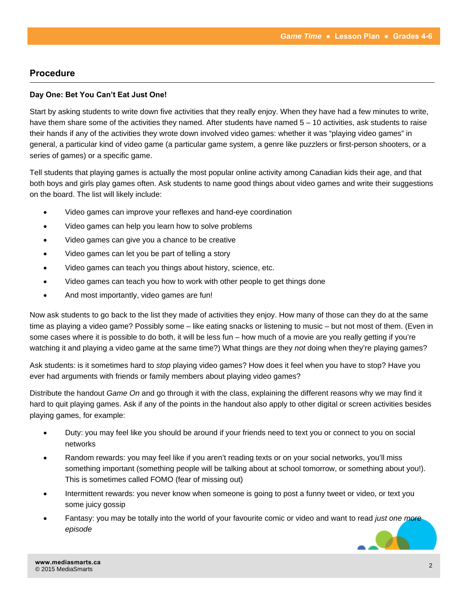### **Procedure**

#### **Day One: Bet You Can't Eat Just One!**

Start by asking students to write down five activities that they really enjoy. When they have had a few minutes to write, have them share some of the activities they named. After students have named 5 – 10 activities, ask students to raise their hands if any of the activities they wrote down involved video games: whether it was "playing video games" in general, a particular kind of video game (a particular game system, a genre like puzzlers or first-person shooters, or a series of games) or a specific game.

Tell students that playing games is actually the most popular online activity among Canadian kids their age, and that both boys and girls play games often. Ask students to name good things about video games and write their suggestions on the board. The list will likely include:

- Video games can improve your reflexes and hand-eye coordination
- Video games can help you learn how to solve problems
- Video games can give you a chance to be creative
- Video games can let you be part of telling a story
- Video games can teach you things about history, science, etc.
- Video games can teach you how to work with other people to get things done
- And most importantly, video games are fun!

Now ask students to go back to the list they made of activities they enjoy. How many of those can they do at the same time as playing a video game? Possibly some – like eating snacks or listening to music – but not most of them. (Even in some cases where it is possible to do both, it will be less fun – how much of a movie are you really getting if you're watching it and playing a video game at the same time?) What things are they *not* doing when they're playing games?

Ask students: is it sometimes hard to *stop* playing video games? How does it feel when you have to stop? Have you ever had arguments with friends or family members about playing video games?

Distribute the handout *Game On* and go through it with the class, explaining the different reasons why we may find it hard to quit playing games. Ask if any of the points in the handout also apply to other digital or screen activities besides playing games, for example:

- Duty: you may feel like you should be around if your friends need to text you or connect to you on social networks
- Random rewards: you may feel like if you aren't reading texts or on your social networks, you'll miss something important (something people will be talking about at school tomorrow, or something about you!). This is sometimes called FOMO (fear of missing out)
- Intermittent rewards: you never know when someone is going to post a funny tweet or video, or text you some juicy gossip
- Fantasy: you may be totally into the world of your favourite comic or video and want to read *just one more episode*

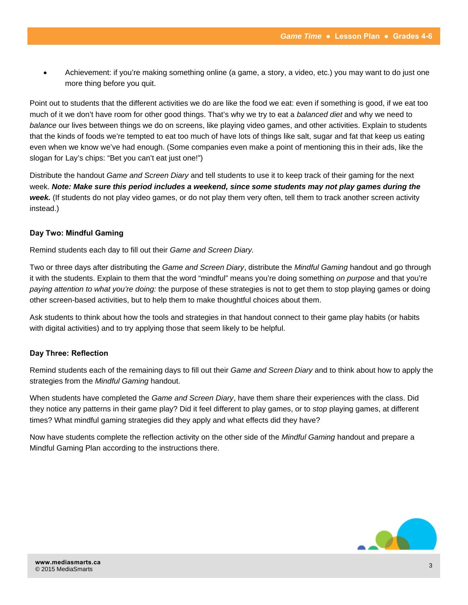Achievement: if you're making something online (a game, a story, a video, etc.) you may want to do just one more thing before you quit.

Point out to students that the different activities we do are like the food we eat: even if something is good, if we eat too much of it we don't have room for other good things. That's why we try to eat a *balanced diet* and why we need to *balance* our lives between things we do on screens, like playing video games, and other activities. Explain to students that the kinds of foods we're tempted to eat too much of have lots of things like salt, sugar and fat that keep us eating even when we know we've had enough. (Some companies even make a point of mentioning this in their ads, like the slogan for Lay's chips: "Bet you can't eat just one!")

Distribute the handout *Game and Screen Diary* and tell students to use it to keep track of their gaming for the next week. *Note: Make sure this period includes a weekend, since some students may not play games during the week.* (If students do not play video games, or do not play them very often, tell them to track another screen activity instead.)

#### **Day Two: Mindful Gaming**

Remind students each day to fill out their *Game and Screen Diary.* 

Two or three days after distributing the *Game and Screen Diary*, distribute the *Mindful Gaming* handout and go through it with the students. Explain to them that the word "mindful" means you're doing something *on purpose* and that you're *paying attention to what you're doing:* the purpose of these strategies is not to get them to stop playing games or doing other screen-based activities, but to help them to make thoughtful choices about them.

Ask students to think about how the tools and strategies in that handout connect to their game play habits (or habits with digital activities) and to try applying those that seem likely to be helpful.

#### **Day Three: Reflection**

Remind students each of the remaining days to fill out their *Game and Screen Diary* and to think about how to apply the strategies from the *Mindful Gaming* handout.

When students have completed the *Game and Screen Diary*, have them share their experiences with the class. Did they notice any patterns in their game play? Did it feel different to play games, or to *stop* playing games, at different times? What mindful gaming strategies did they apply and what effects did they have?

Now have students complete the reflection activity on the other side of the *Mindful Gaming* handout and prepare a Mindful Gaming Plan according to the instructions there.

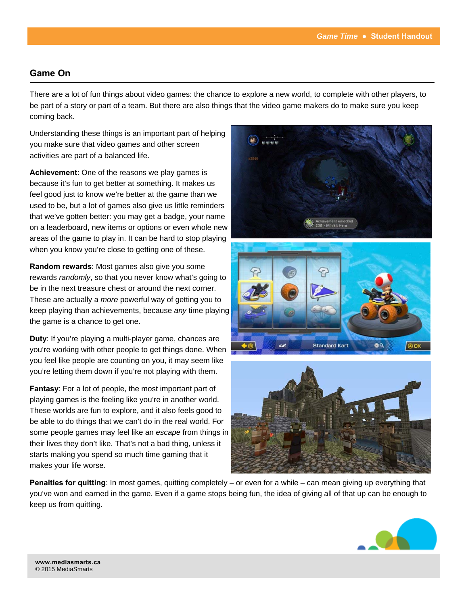## **Game On**

There are a lot of fun things about video games: the chance to explore a new world, to complete with other players, to be part of a story or part of a team. But there are also things that the video game makers do to make sure you keep coming back.

Understanding these things is an important part of helping you make sure that video games and other screen activities are part of a balanced life.

**Achievement**: One of the reasons we play games is because it's fun to get better at something. It makes us feel good just to know we're better at the game than we used to be, but a lot of games also give us little reminders that we've gotten better: you may get a badge, your name on a leaderboard, new items or options or even whole new areas of the game to play in. It can be hard to stop playing when you know you're close to getting one of these.

**Random rewards**: Most games also give you some rewards *randomly*, so that you never know what's going to be in the next treasure chest or around the next corner. These are actually a *more* powerful way of getting you to keep playing than achievements, because *any* time playing the game is a chance to get one.

**Duty**: If you're playing a multi-player game, chances are you're working with other people to get things done. When you feel like people are counting on you, it may seem like you're letting them down if you're not playing with them.

**Fantasy**: For a lot of people, the most important part of playing games is the feeling like you're in another world. These worlds are fun to explore, and it also feels good to be able to do things that we can't do in the real world. For some people games may feel like an *escape* from things in their lives they don't like. That's not a bad thing, unless it starts making you spend so much time gaming that it makes your life worse.







**Penalties for quitting**: In most games, quitting completely – or even for a while – can mean giving up everything that you've won and earned in the game. Even if a game stops being fun, the idea of giving all of that up can be enough to keep us from quitting.

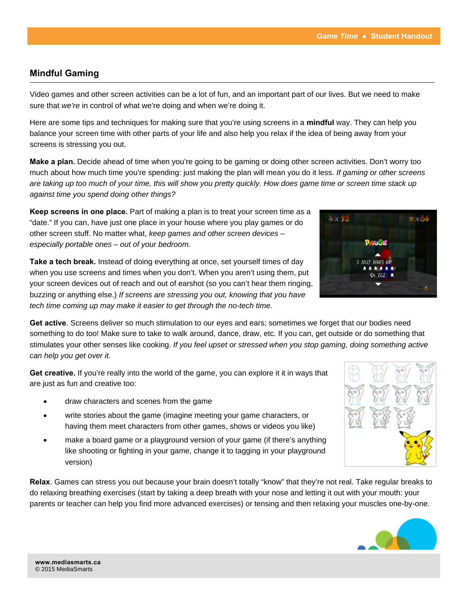## **Mindful Gaming**

Video games and other screen activities can be a lot of fun, and an important part of our lives. But we need to make sure that *we're* in control of what we're doing and when we're doing it.

Here are some tips and techniques for making sure that you're using screens in a **mindful** way. They can help you balance your screen time with other parts of your life and also help you relax if the idea of being away from your screens is stressing you out.

**Make a plan.** Decide ahead of time when you're going to be gaming or doing other screen activities. Don't worry too much about how much time you're spending: just making the plan will mean you do it less. *If gaming or other screens are taking up too much of your time, this will show you pretty quickly. How does game time or screen time stack up against time you spend doing other things?*

**Keep screens in one place.** Part of making a plan is to treat your screen time as a "date." If you can, have just one place in your house where you play games or do other screen stuff. No matter what, *keep games and other screen devices – especially portable ones – out of your bedroom.*

**Take a tech break.** Instead of doing everything at once, set yourself times of day when you use screens and times when you don't. When you aren't using them, put your screen devices out of reach and out of earshot (so you can't hear them ringing, buzzing or anything else.) *If screens are stressing you out, knowing that you have tech time coming up may make it easier to get through the no-tech time.*

**Get active**. Screens deliver so much stimulation to our eyes and ears; sometimes we forget that our bodies need something to do too! Make sure to take to walk around, dance, draw, etc. If you can, get outside or do something that stimulates your other senses like cooking. *If you feel upset or stressed when you stop gaming, doing something active can help you get over it.*

**Get creative.** If you're really into the world of the game, you can explore it it in ways that are just as fun and creative too:

- draw characters and scenes from the game
- write stories about the game (imagine meeting your game characters, or having them meet characters from other games, shows or videos you like)
- make a board game or a playground version of your game (if there's anything like shooting or fighting in your game, change it to tagging in your playground version)

**Relax**. Games can stress you out because your brain doesn't totally "know" that they're not real. Take regular breaks to do relaxing breathing exercises (start by taking a deep breath with your nose and letting it out with your mouth: your parents or teacher can help you find more advanced exercises) or tensing and then relaxing your muscles one-by-one.





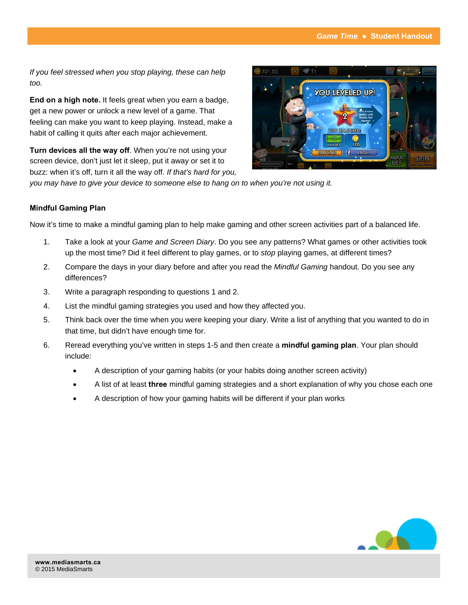*If you feel stressed when you stop playing, these can help too.* 

**End on a high note.** It feels great when you earn a badge, get a new power or unlock a new level of a game. That feeling can make you want to keep playing. Instead, make a habit of calling it quits after each major achievement.

**Turn devices all the way off.** When you're not using your screen device, don't just let it sleep, put it away or set it to buzz: when it's off, turn it all the way off. *If that's hard for you,* 



*you may have to give your device to someone else to hang on to when you're not using it.*

#### **Mindful Gaming Plan**

Now it's time to make a mindful gaming plan to help make gaming and other screen activities part of a balanced life.

- 1. Take a look at your *Game and Screen Diary*. Do you see any patterns? What games or other activities took up the most time? Did it feel different to play games, or to *stop* playing games, at different times?
- 2. Compare the days in your diary before and after you read the *Mindful Gaming* handout. Do you see any differences?
- 3. Write a paragraph responding to questions 1 and 2.
- 4. List the mindful gaming strategies you used and how they affected you.
- 5. Think back over the time when you were keeping your diary. Write a list of anything that you wanted to do in that time, but didn't have enough time for.
- 6. Reread everything you've written in steps 1-5 and then create a **mindful gaming plan**. Your plan should include:
	- A description of your gaming habits (or your habits doing another screen activity)
	- A list of at least **three** mindful gaming strategies and a short explanation of why you chose each one
	- A description of how your gaming habits will be different if your plan works

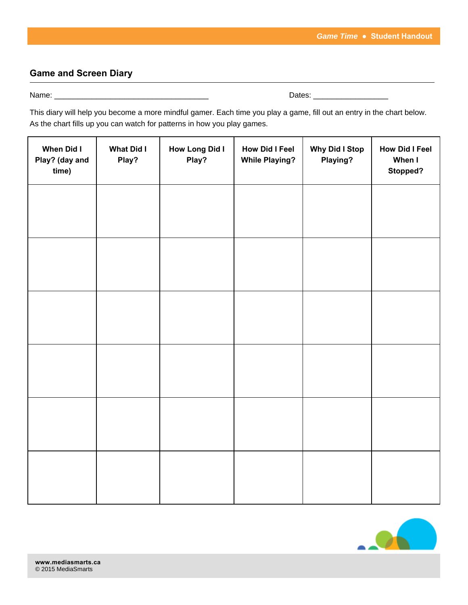## **Game and Screen Diary**

Name: \_\_\_\_\_\_\_\_\_\_\_\_\_\_\_\_\_\_\_\_\_\_\_\_\_\_\_\_\_\_\_\_\_ Dates: \_\_\_\_\_\_\_\_\_\_\_\_\_\_\_\_

This diary will help you become a more mindful gamer. Each time you play a game, fill out an entry in the chart below. As the chart fills up you can watch for patterns in how you play games.

| When Did I<br>Play? (day and<br>time) | <b>What Did I</b><br>Play? | <b>How Long Did I</b><br>Play? | <b>How Did I Feel</b><br><b>While Playing?</b> | <b>Why Did I Stop</b><br>Playing? | <b>How Did I Feel</b><br>When I<br>Stopped? |
|---------------------------------------|----------------------------|--------------------------------|------------------------------------------------|-----------------------------------|---------------------------------------------|
|                                       |                            |                                |                                                |                                   |                                             |
|                                       |                            |                                |                                                |                                   |                                             |
|                                       |                            |                                |                                                |                                   |                                             |
|                                       |                            |                                |                                                |                                   |                                             |
|                                       |                            |                                |                                                |                                   |                                             |
|                                       |                            |                                |                                                |                                   |                                             |

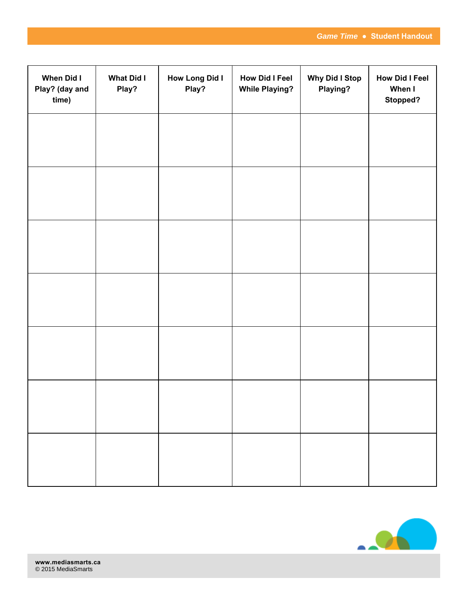| <b>When Did I</b><br>Play? (day and<br>time) | <b>What Did I</b><br>Play? | <b>How Long Did I</b><br>Play? | <b>How Did I Feel</b><br><b>While Playing?</b> | <b>Why Did I Stop</b><br>Playing? | <b>How Did I Feel</b><br>When I<br>Stopped? |
|----------------------------------------------|----------------------------|--------------------------------|------------------------------------------------|-----------------------------------|---------------------------------------------|
|                                              |                            |                                |                                                |                                   |                                             |
|                                              |                            |                                |                                                |                                   |                                             |
|                                              |                            |                                |                                                |                                   |                                             |
|                                              |                            |                                |                                                |                                   |                                             |
|                                              |                            |                                |                                                |                                   |                                             |
|                                              |                            |                                |                                                |                                   |                                             |
|                                              |                            |                                |                                                |                                   |                                             |
|                                              |                            |                                |                                                |                                   |                                             |

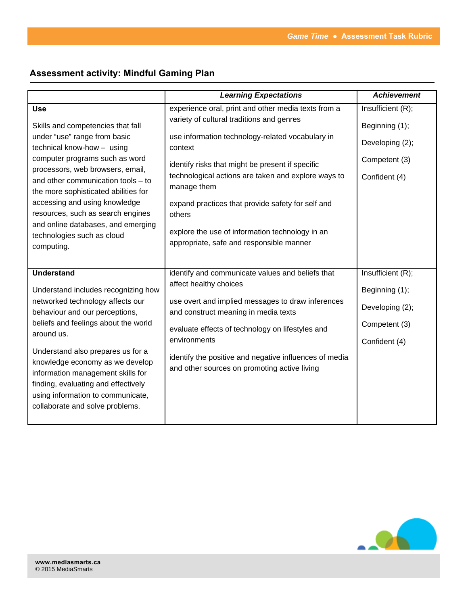# **Assessment activity: Mindful Gaming Plan**

|                                                                                                                                                                                                                                                                                                                                                                                                                  | <b>Learning Expectations</b>                                                                                                                                                                                                                                                                                                                                                                     | <b>Achievement</b>                                                                       |
|------------------------------------------------------------------------------------------------------------------------------------------------------------------------------------------------------------------------------------------------------------------------------------------------------------------------------------------------------------------------------------------------------------------|--------------------------------------------------------------------------------------------------------------------------------------------------------------------------------------------------------------------------------------------------------------------------------------------------------------------------------------------------------------------------------------------------|------------------------------------------------------------------------------------------|
| <b>Use</b>                                                                                                                                                                                                                                                                                                                                                                                                       | experience oral, print and other media texts from a                                                                                                                                                                                                                                                                                                                                              | Insufficient (R);                                                                        |
| Skills and competencies that fall<br>under "use" range from basic<br>technical know-how - using<br>computer programs such as word<br>processors, web browsers, email,<br>and other communication tools - to<br>the more sophisticated abilities for<br>accessing and using knowledge<br>resources, such as search engines<br>and online databases, and emerging<br>technologies such as cloud<br>computing.      | variety of cultural traditions and genres<br>use information technology-related vocabulary in<br>context<br>identify risks that might be present if specific<br>technological actions are taken and explore ways to<br>manage them<br>expand practices that provide safety for self and<br>others<br>explore the use of information technology in an<br>appropriate, safe and responsible manner | Beginning (1);<br>Developing (2);<br>Competent (3)<br>Confident (4)                      |
| <b>Understand</b><br>Understand includes recognizing how<br>networked technology affects our<br>behaviour and our perceptions,<br>beliefs and feelings about the world<br>around us.<br>Understand also prepares us for a<br>knowledge economy as we develop<br>information management skills for<br>finding, evaluating and effectively<br>using information to communicate,<br>collaborate and solve problems. | identify and communicate values and beliefs that<br>affect healthy choices<br>use overt and implied messages to draw inferences<br>and construct meaning in media texts<br>evaluate effects of technology on lifestyles and<br>environments<br>identify the positive and negative influences of media<br>and other sources on promoting active living                                            | Insufficient (R);<br>Beginning (1);<br>Developing (2);<br>Competent (3)<br>Confident (4) |